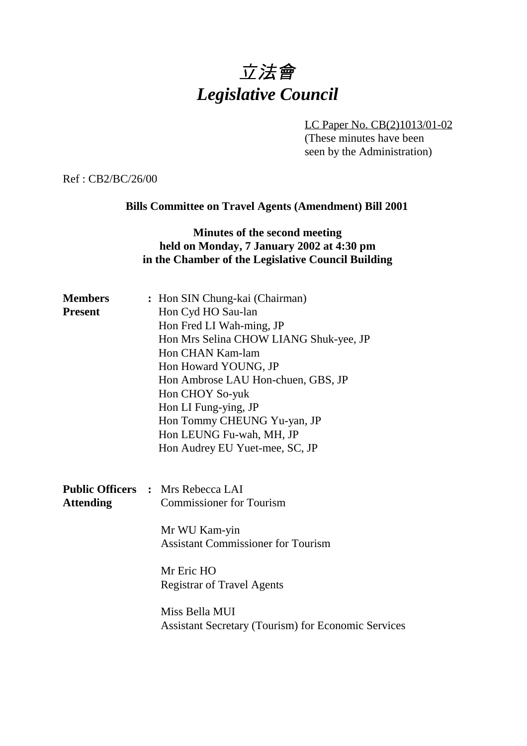# 立法會 *Legislative Council*

LC Paper No. CB(2)1013/01-02

(These minutes have been seen by the Administration)

Ref : CB2/BC/26/00

# **Bills Committee on Travel Agents (Amendment) Bill 2001**

### **Minutes of the second meeting held on Monday, 7 January 2002 at 4:30 pm in the Chamber of the Legislative Council Building**

| <b>Members</b>   | : Hon SIN Chung-kai (Chairman)                             |
|------------------|------------------------------------------------------------|
| <b>Present</b>   | Hon Cyd HO Sau-lan                                         |
|                  | Hon Fred LI Wah-ming, JP                                   |
|                  | Hon Mrs Selina CHOW LIANG Shuk-yee, JP                     |
|                  | Hon CHAN Kam-lam                                           |
|                  | Hon Howard YOUNG, JP                                       |
|                  | Hon Ambrose LAU Hon-chuen, GBS, JP                         |
|                  | Hon CHOY So-yuk                                            |
|                  | Hon LI Fung-ying, JP                                       |
|                  | Hon Tommy CHEUNG Yu-yan, JP                                |
|                  | Hon LEUNG Fu-wah, MH, JP                                   |
|                  | Hon Audrey EU Yuet-mee, SC, JP                             |
|                  |                                                            |
|                  |                                                            |
|                  | <b>Public Officers : Mrs Rebecca LAI</b>                   |
| <b>Attending</b> | <b>Commissioner for Tourism</b>                            |
|                  |                                                            |
|                  | Mr WU Kam-yin                                              |
|                  | <b>Assistant Commissioner for Tourism</b>                  |
|                  | Mr Eric HO                                                 |
|                  | <b>Registrar of Travel Agents</b>                          |
|                  |                                                            |
|                  | Miss Bella MUI                                             |
|                  | <b>Assistant Secretary (Tourism) for Economic Services</b> |
|                  |                                                            |
|                  |                                                            |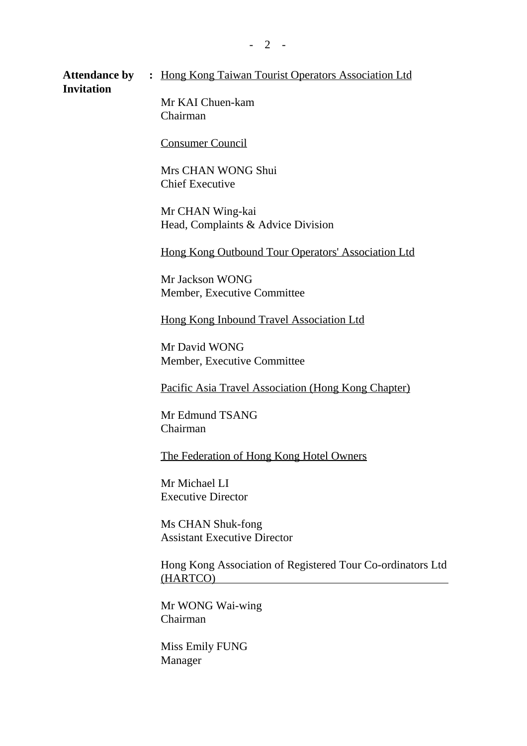Attendance by : Hong Kong Taiwan Tourist Operators Association Ltd **Invitation**

Mr KAI Chuen-kam Chairman

Consumer Council

Mrs CHAN WONG Shui Chief Executive

Mr CHAN Wing-kai Head, Complaints & Advice Division

Hong Kong Outbound Tour Operators' Association Ltd

Mr Jackson WONG Member, Executive Committee

Hong Kong Inbound Travel Association Ltd

Mr David WONG Member, Executive Committee

Pacific Asia Travel Association (Hong Kong Chapter)

Mr Edmund TSANG Chairman

The Federation of Hong Kong Hotel Owners

Mr Michael LI Executive Director

Ms CHAN Shuk-fong Assistant Executive Director

Hong Kong Association of Registered Tour Co-ordinators Ltd (HARTCO)

Mr WONG Wai-wing Chairman

Miss Emily FUNG Manager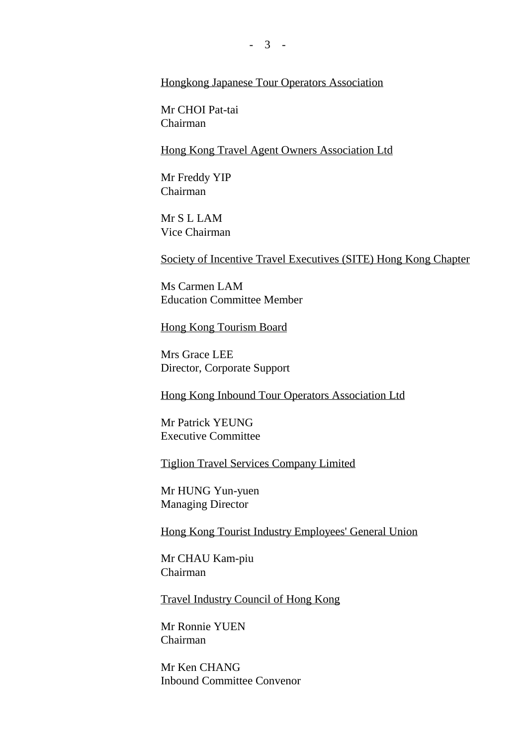#### Hongkong Japanese Tour Operators Association

Mr CHOI Pat-tai Chairman

Hong Kong Travel Agent Owners Association Ltd

Mr Freddy YIP Chairman

Mr S L LAM Vice Chairman

Society of Incentive Travel Executives (SITE) Hong Kong Chapter

Ms Carmen LAM Education Committee Member

Hong Kong Tourism Board

Mrs Grace LEE Director, Corporate Support

Hong Kong Inbound Tour Operators Association Ltd

Mr Patrick YEUNG Executive Committee

Tiglion Travel Services Company Limited

Mr HUNG Yun-yuen Managing Director

Hong Kong Tourist Industry Employees' General Union

Mr CHAU Kam-piu Chairman

Travel Industry Council of Hong Kong

Mr Ronnie YUEN Chairman

Mr Ken CHANG Inbound Committee Convenor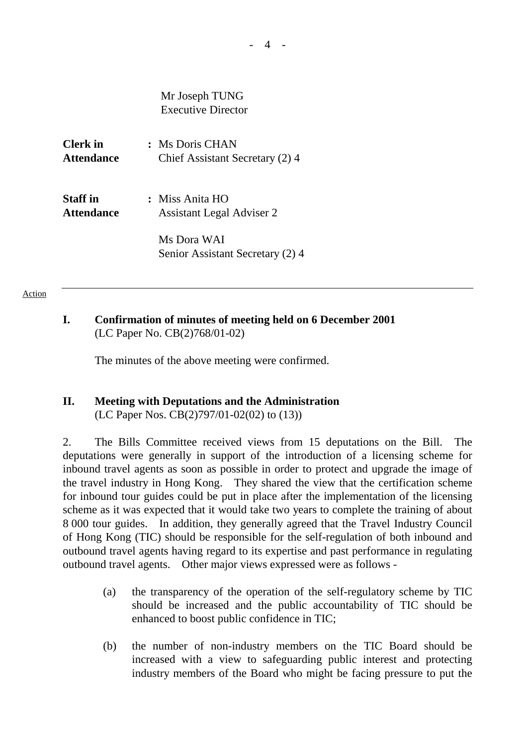Mr Joseph TUNG Executive Director

**Clerk in :** Ms Doris CHAN Attendance Chief Assistant Secretary (2) 4

**Staff in :** Miss Anita HO **Attendance** Assistant Legal Adviser 2

> Ms Dora WAI Senior Assistant Secretary (2) 4

#### Action

#### **I. Confirmation of minutes of meeting held on 6 December 2001** (LC Paper No. CB(2)768/01-02)

The minutes of the above meeting were confirmed.

# **II. Meeting with Deputations and the Administration**

(LC Paper Nos. CB(2)797/01-02(02) to (13))

2. The Bills Committee received views from 15 deputations on the Bill. The deputations were generally in support of the introduction of a licensing scheme for inbound travel agents as soon as possible in order to protect and upgrade the image of the travel industry in Hong Kong. They shared the view that the certification scheme for inbound tour guides could be put in place after the implementation of the licensing scheme as it was expected that it would take two years to complete the training of about 8 000 tour guides. In addition, they generally agreed that the Travel Industry Council of Hong Kong (TIC) should be responsible for the self-regulation of both inbound and outbound travel agents having regard to its expertise and past performance in regulating outbound travel agents. Other major views expressed were as follows -

- (a) the transparency of the operation of the self-regulatory scheme by TIC should be increased and the public accountability of TIC should be enhanced to boost public confidence in TIC;
- (b) the number of non-industry members on the TIC Board should be increased with a view to safeguarding public interest and protecting industry members of the Board who might be facing pressure to put the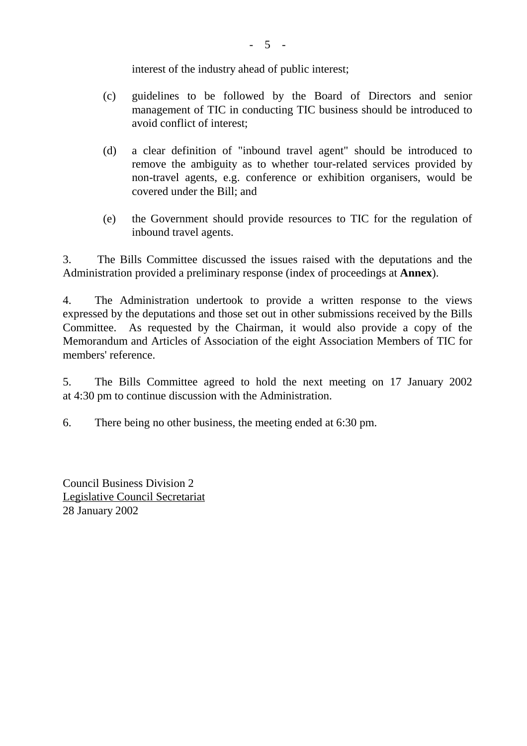interest of the industry ahead of public interest;

- (c) guidelines to be followed by the Board of Directors and senior management of TIC in conducting TIC business should be introduced to avoid conflict of interest:
- (d) a clear definition of "inbound travel agent" should be introduced to remove the ambiguity as to whether tour-related services provided by non-travel agents, e.g. conference or exhibition organisers, would be covered under the Bill; and
- (e) the Government should provide resources to TIC for the regulation of inbound travel agents.

3. The Bills Committee discussed the issues raised with the deputations and the Administration provided a preliminary response (index of proceedings at **Annex**).

4. The Administration undertook to provide a written response to the views expressed by the deputations and those set out in other submissions received by the Bills Committee. As requested by the Chairman, it would also provide a copy of the Memorandum and Articles of Association of the eight Association Members of TIC for members' reference.

5. The Bills Committee agreed to hold the next meeting on 17 January 2002 at 4:30 pm to continue discussion with the Administration.

6. There being no other business, the meeting ended at 6:30 pm.

Council Business Division 2 Legislative Council Secretariat 28 January 2002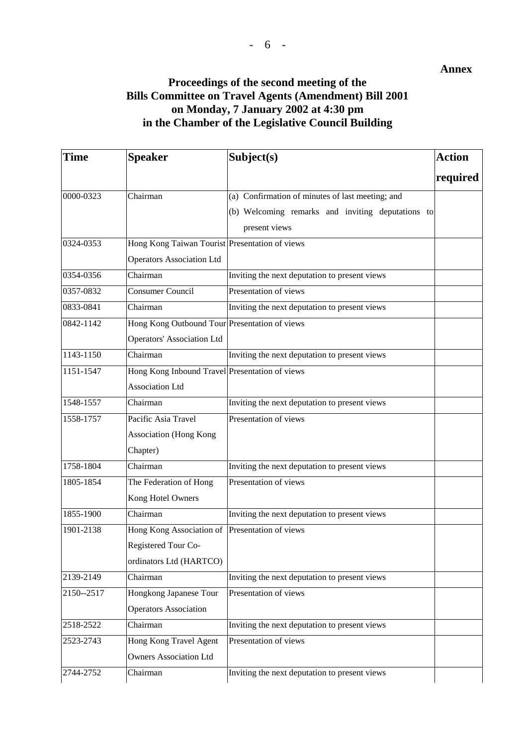#### **Annex**

### **Proceedings of the second meeting of the Bills Committee on Travel Agents (Amendment) Bill 2001 on Monday, 7 January 2002 at 4:30 pm in the Chamber of the Legislative Council Building**

| <b>Time</b> | <b>Speaker</b>                                 | Subject(s)                                        | <b>Action</b> |
|-------------|------------------------------------------------|---------------------------------------------------|---------------|
|             |                                                |                                                   | required      |
| 0000-0323   | Chairman                                       | (a) Confirmation of minutes of last meeting; and  |               |
|             |                                                | (b) Welcoming remarks and inviting deputations to |               |
|             |                                                | present views                                     |               |
| 0324-0353   | Hong Kong Taiwan Tourist Presentation of views |                                                   |               |
|             | <b>Operators Association Ltd</b>               |                                                   |               |
| 0354-0356   | Chairman                                       | Inviting the next deputation to present views     |               |
| 0357-0832   | Consumer Council                               | Presentation of views                             |               |
| 0833-0841   | Chairman                                       | Inviting the next deputation to present views     |               |
| 0842-1142   | Hong Kong Outbound Tour Presentation of views  |                                                   |               |
|             | <b>Operators' Association Ltd</b>              |                                                   |               |
| 1143-1150   | Chairman                                       | Inviting the next deputation to present views     |               |
| 1151-1547   | Hong Kong Inbound Travel Presentation of views |                                                   |               |
|             | <b>Association Ltd</b>                         |                                                   |               |
| 1548-1557   | Chairman                                       | Inviting the next deputation to present views     |               |
| 1558-1757   | Pacific Asia Travel                            | Presentation of views                             |               |
|             | <b>Association</b> (Hong Kong                  |                                                   |               |
|             | Chapter)                                       |                                                   |               |
| 1758-1804   | Chairman                                       | Inviting the next deputation to present views     |               |
| 1805-1854   | The Federation of Hong                         | Presentation of views                             |               |
|             | Kong Hotel Owners                              |                                                   |               |
| 1855-1900   | Chairman                                       | Inviting the next deputation to present views     |               |
| 1901-2138   | Hong Kong Association of                       | Presentation of views                             |               |
|             | Registered Tour Co-                            |                                                   |               |
|             | ordinators Ltd (HARTCO)                        |                                                   |               |
| 2139-2149   | Chairman                                       | Inviting the next deputation to present views     |               |
| 2150--2517  | Hongkong Japanese Tour                         | Presentation of views                             |               |
|             | <b>Operators Association</b>                   |                                                   |               |
| 2518-2522   | Chairman                                       | Inviting the next deputation to present views     |               |
| 2523-2743   | Hong Kong Travel Agent                         | Presentation of views                             |               |
|             | <b>Owners Association Ltd</b>                  |                                                   |               |
| 2744-2752   | Chairman                                       | Inviting the next deputation to present views     |               |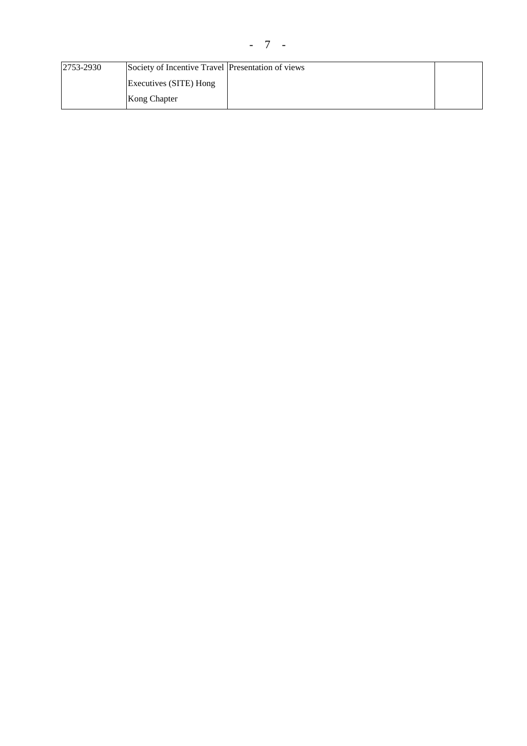| 2753-2930 | Society of Incentive Travel Presentation of views |  |
|-----------|---------------------------------------------------|--|
|           | Executives (SITE) Hong                            |  |
|           | Kong Chapter                                      |  |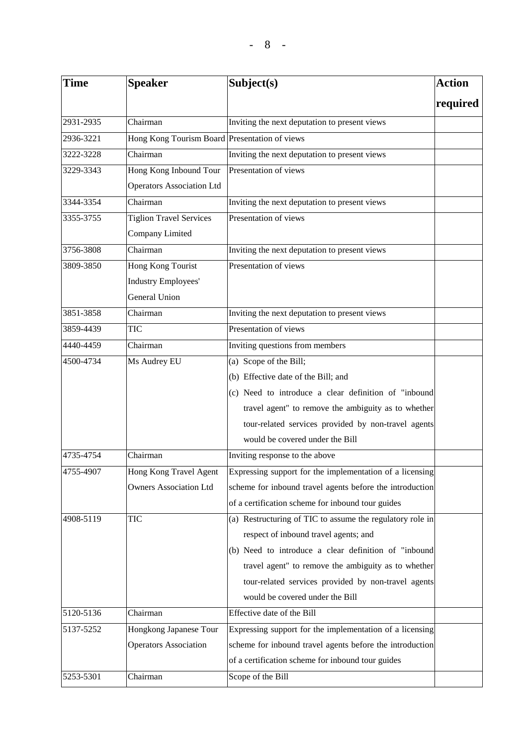| <b>Time</b> | <b>Speaker</b>                                | Subject(s)                                                | <b>Action</b> |
|-------------|-----------------------------------------------|-----------------------------------------------------------|---------------|
|             |                                               |                                                           | required      |
| 2931-2935   | Chairman                                      | Inviting the next deputation to present views             |               |
| 2936-3221   | Hong Kong Tourism Board Presentation of views |                                                           |               |
| 3222-3228   | Chairman                                      | Inviting the next deputation to present views             |               |
| 3229-3343   | Hong Kong Inbound Tour                        | Presentation of views                                     |               |
|             | <b>Operators Association Ltd</b>              |                                                           |               |
| 3344-3354   | Chairman                                      | Inviting the next deputation to present views             |               |
| 3355-3755   | <b>Tiglion Travel Services</b>                | Presentation of views                                     |               |
|             | Company Limited                               |                                                           |               |
| 3756-3808   | Chairman                                      | Inviting the next deputation to present views             |               |
| 3809-3850   | Hong Kong Tourist                             | Presentation of views                                     |               |
|             | <b>Industry Employees'</b>                    |                                                           |               |
|             | General Union                                 |                                                           |               |
| 3851-3858   | Chairman                                      | Inviting the next deputation to present views             |               |
| 3859-4439   | <b>TIC</b>                                    | Presentation of views                                     |               |
| 4440-4459   | Chairman                                      | Inviting questions from members                           |               |
| 4500-4734   | Ms Audrey EU                                  | (a) Scope of the Bill;                                    |               |
|             |                                               | (b) Effective date of the Bill; and                       |               |
|             |                                               | (c) Need to introduce a clear definition of "inbound      |               |
|             |                                               | travel agent" to remove the ambiguity as to whether       |               |
|             |                                               | tour-related services provided by non-travel agents       |               |
|             |                                               | would be covered under the Bill                           |               |
| 4735-4754   | Chairman                                      | Inviting response to the above                            |               |
| 4755-4907   | Hong Kong Travel Agent                        | Expressing support for the implementation of a licensing  |               |
|             | <b>Owners Association Ltd</b>                 | scheme for inbound travel agents before the introduction  |               |
|             |                                               | of a certification scheme for inbound tour guides         |               |
| 4908-5119   | <b>TIC</b>                                    | (a) Restructuring of TIC to assume the regulatory role in |               |
|             |                                               | respect of inbound travel agents; and                     |               |
|             |                                               | (b) Need to introduce a clear definition of "inbound      |               |
|             |                                               | travel agent" to remove the ambiguity as to whether       |               |
|             |                                               | tour-related services provided by non-travel agents       |               |
|             |                                               | would be covered under the Bill                           |               |
| 5120-5136   | Chairman                                      | Effective date of the Bill                                |               |
| 5137-5252   | Hongkong Japanese Tour                        | Expressing support for the implementation of a licensing  |               |
|             | <b>Operators Association</b>                  | scheme for inbound travel agents before the introduction  |               |
|             |                                               | of a certification scheme for inbound tour guides         |               |
| 5253-5301   | Chairman                                      | Scope of the Bill                                         |               |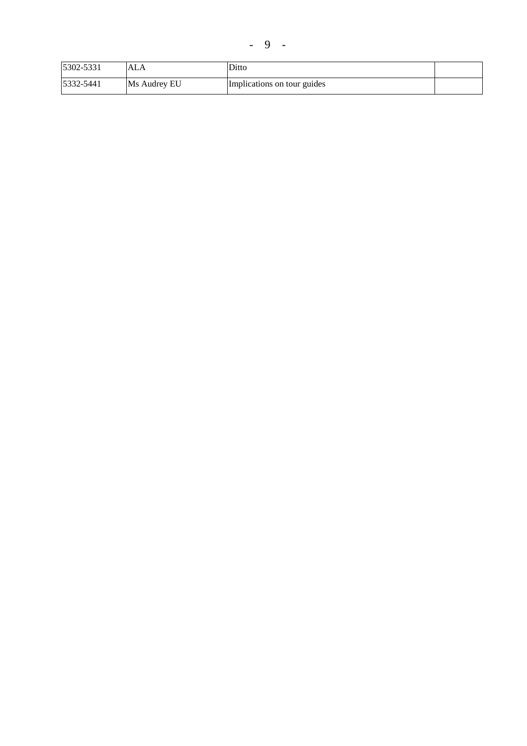| 5302-5331 | ALA          | Ditto                       |  |
|-----------|--------------|-----------------------------|--|
| 5332-5441 | Ms Audrey EU | Implications on tour guides |  |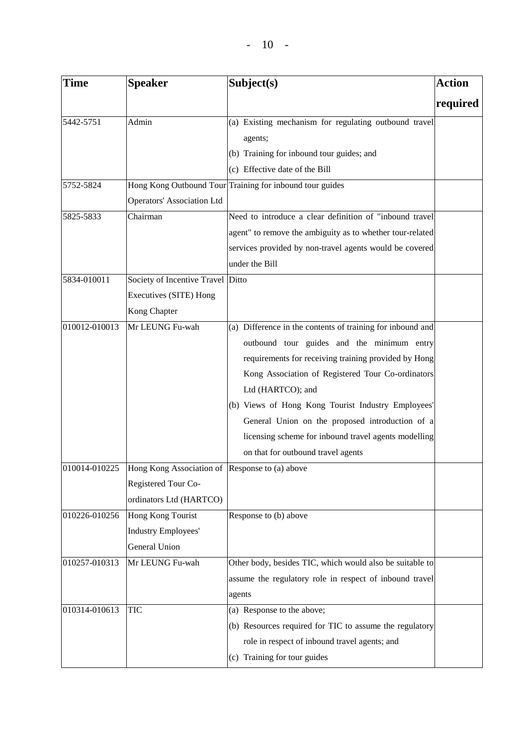| Time                           | <b>Speaker</b>                                                    | Subject(s)                                                                                                                                                                                                                                                                                                                                                                                                                                        | <b>Action</b> |
|--------------------------------|-------------------------------------------------------------------|---------------------------------------------------------------------------------------------------------------------------------------------------------------------------------------------------------------------------------------------------------------------------------------------------------------------------------------------------------------------------------------------------------------------------------------------------|---------------|
|                                |                                                                   |                                                                                                                                                                                                                                                                                                                                                                                                                                                   | required      |
| 5442-5751                      | Admin                                                             | (a) Existing mechanism for regulating outbound travel<br>agents;<br>(b) Training for inbound tour guides; and<br>(c) Effective date of the Bill                                                                                                                                                                                                                                                                                                   |               |
| 5752-5824                      |                                                                   | Hong Kong Outbound Tour Training for inbound tour guides                                                                                                                                                                                                                                                                                                                                                                                          |               |
|                                | <b>Operators' Association Ltd</b>                                 |                                                                                                                                                                                                                                                                                                                                                                                                                                                   |               |
| 5825-5833                      | Chairman                                                          | Need to introduce a clear definition of "inbound travel<br>agent" to remove the ambiguity as to whether tour-related<br>services provided by non-travel agents would be covered<br>under the Bill                                                                                                                                                                                                                                                 |               |
| 5834-010011                    | Society of Incentive Travel                                       | Ditto                                                                                                                                                                                                                                                                                                                                                                                                                                             |               |
|                                | Executives (SITE) Hong<br>Kong Chapter                            |                                                                                                                                                                                                                                                                                                                                                                                                                                                   |               |
| 010012-010013<br>010014-010225 | Mr LEUNG Fu-wah<br>Hong Kong Association of Response to (a) above | (a) Difference in the contents of training for inbound and<br>outbound tour guides and the minimum entry<br>requirements for receiving training provided by Hong<br>Kong Association of Registered Tour Co-ordinators<br>Ltd (HARTCO); and<br>(b) Views of Hong Kong Tourist Industry Employees'<br>General Union on the proposed introduction of a<br>licensing scheme for inbound travel agents modelling<br>on that for outbound travel agents |               |
|                                | Registered Tour Co-<br>ordinators Ltd (HARTCO)                    |                                                                                                                                                                                                                                                                                                                                                                                                                                                   |               |
| 010226-010256                  | Hong Kong Tourist<br><b>Industry Employees'</b><br>General Union  | Response to (b) above                                                                                                                                                                                                                                                                                                                                                                                                                             |               |
| 010257-010313                  | Mr LEUNG Fu-wah                                                   | Other body, besides TIC, which would also be suitable to<br>assume the regulatory role in respect of inbound travel<br>agents                                                                                                                                                                                                                                                                                                                     |               |
| 010314-010613                  | <b>TIC</b>                                                        | (a) Response to the above;<br>(b) Resources required for TIC to assume the regulatory<br>role in respect of inbound travel agents; and<br>(c) Training for tour guides                                                                                                                                                                                                                                                                            |               |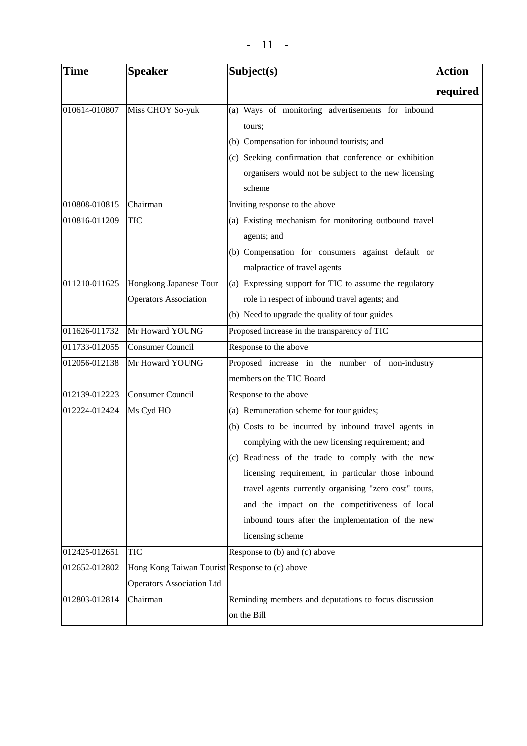| <b>Time</b>   | <b>Speaker</b>                                 | Subject(s)                                                  | <b>Action</b> |
|---------------|------------------------------------------------|-------------------------------------------------------------|---------------|
|               |                                                |                                                             | required      |
| 010614-010807 | Miss CHOY So-yuk                               | (a) Ways of monitoring advertisements for inbound<br>tours; |               |
|               |                                                | (b) Compensation for inbound tourists; and                  |               |
|               |                                                | (c) Seeking confirmation that conference or exhibition      |               |
|               |                                                | organisers would not be subject to the new licensing        |               |
|               |                                                | scheme                                                      |               |
| 010808-010815 | Chairman                                       | Inviting response to the above                              |               |
| 010816-011209 | <b>TIC</b>                                     | (a) Existing mechanism for monitoring outbound travel       |               |
|               |                                                | agents; and                                                 |               |
|               |                                                | (b) Compensation for consumers against default or           |               |
|               |                                                | malpractice of travel agents                                |               |
| 011210-011625 | Hongkong Japanese Tour                         | (a) Expressing support for TIC to assume the regulatory     |               |
|               | <b>Operators Association</b>                   | role in respect of inbound travel agents; and               |               |
|               |                                                | (b) Need to upgrade the quality of tour guides              |               |
| 011626-011732 | Mr Howard YOUNG                                | Proposed increase in the transparency of TIC                |               |
| 011733-012055 | Consumer Council                               | Response to the above                                       |               |
| 012056-012138 | Mr Howard YOUNG                                | Proposed increase in the number of non-industry             |               |
|               |                                                | members on the TIC Board                                    |               |
| 012139-012223 | <b>Consumer Council</b>                        | Response to the above                                       |               |
| 012224-012424 | Ms Cyd HO                                      | (a) Remuneration scheme for tour guides;                    |               |
|               |                                                | (b) Costs to be incurred by inbound travel agents in        |               |
|               |                                                | complying with the new licensing requirement; and           |               |
|               |                                                | (c) Readiness of the trade to comply with the new           |               |
|               |                                                | licensing requirement, in particular those inbound          |               |
|               |                                                | travel agents currently organising "zero cost" tours,       |               |
|               |                                                | and the impact on the competitiveness of local              |               |
|               |                                                | inbound tours after the implementation of the new           |               |
|               |                                                | licensing scheme                                            |               |
| 012425-012651 | <b>TIC</b>                                     | Response to (b) and (c) above                               |               |
| 012652-012802 | Hong Kong Taiwan Tourist Response to (c) above |                                                             |               |
|               | <b>Operators Association Ltd</b>               |                                                             |               |
| 012803-012814 | Chairman                                       | Reminding members and deputations to focus discussion       |               |
|               |                                                | on the Bill                                                 |               |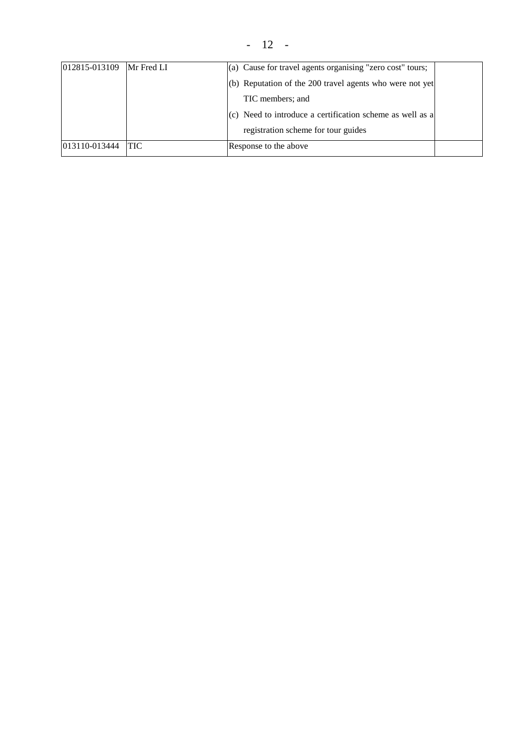- 12 -

| 012815-013109 | Mr Fred LI | (a) Cause for travel agents organising "zero cost" tours; |  |
|---------------|------------|-----------------------------------------------------------|--|
|               |            | (b) Reputation of the 200 travel agents who were not yet  |  |
|               |            | TIC members; and                                          |  |
|               |            | (c) Need to introduce a certification scheme as well as a |  |
|               |            | registration scheme for tour guides                       |  |
| 013110-013444 | 'TIC       | Response to the above                                     |  |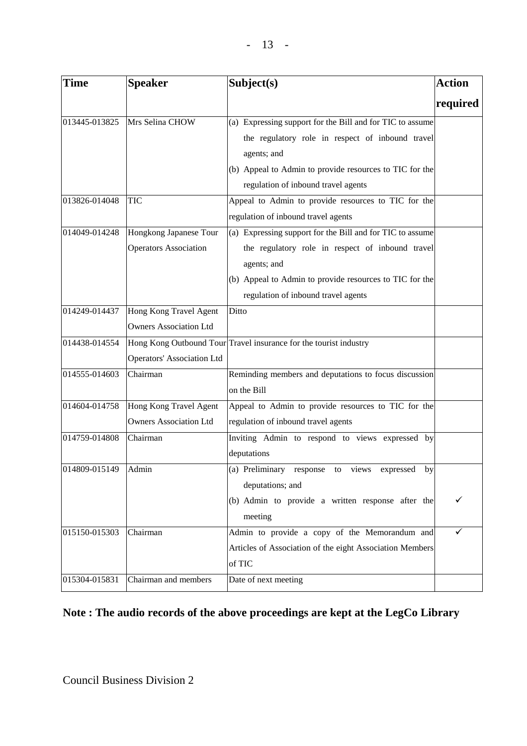| Time                | <b>Speaker</b>                    | Subject(s)                                                        | <b>Action</b> |
|---------------------|-----------------------------------|-------------------------------------------------------------------|---------------|
|                     |                                   |                                                                   | required      |
| 013445-013825       | Mrs Selina CHOW                   | (a) Expressing support for the Bill and for TIC to assume         |               |
|                     |                                   | the regulatory role in respect of inbound travel                  |               |
|                     |                                   | agents; and                                                       |               |
|                     |                                   | (b) Appeal to Admin to provide resources to TIC for the           |               |
|                     |                                   | regulation of inbound travel agents                               |               |
| 013826-014048       | <b>TIC</b>                        | Appeal to Admin to provide resources to TIC for the               |               |
|                     |                                   | regulation of inbound travel agents                               |               |
| 014049-014248       | Hongkong Japanese Tour            | (a) Expressing support for the Bill and for TIC to assume         |               |
|                     | <b>Operators Association</b>      | the regulatory role in respect of inbound travel                  |               |
|                     |                                   | agents; and                                                       |               |
|                     |                                   | (b) Appeal to Admin to provide resources to TIC for the           |               |
|                     |                                   | regulation of inbound travel agents                               |               |
| 014249-014437       | Hong Kong Travel Agent            | Ditto                                                             |               |
|                     | <b>Owners Association Ltd</b>     |                                                                   |               |
| 014438-014554       |                                   | Hong Kong Outbound Tour Travel insurance for the tourist industry |               |
|                     | <b>Operators' Association Ltd</b> |                                                                   |               |
| 014555-014603       | Chairman                          | Reminding members and deputations to focus discussion             |               |
|                     |                                   | on the Bill                                                       |               |
| 014604-014758       | Hong Kong Travel Agent            | Appeal to Admin to provide resources to TIC for the               |               |
|                     | <b>Owners Association Ltd</b>     | regulation of inbound travel agents                               |               |
| 014759-014808       | Chairman                          | Inviting Admin to respond to views expressed by                   |               |
|                     |                                   | deputations                                                       |               |
| 014809-015149 Admin |                                   | (a) Preliminary response to views expressed by                    |               |
|                     |                                   | deputations; and                                                  |               |
|                     |                                   | (b) Admin to provide a written response after the                 | ✓             |
|                     |                                   | meeting                                                           |               |
| 015150-015303       | Chairman                          | Admin to provide a copy of the Memorandum and                     | ✓             |
|                     |                                   | Articles of Association of the eight Association Members          |               |
|                     |                                   | of TIC                                                            |               |
| 015304-015831       | Chairman and members              | Date of next meeting                                              |               |

# **Note : The audio records of the above proceedings are kept at the LegCo Library**